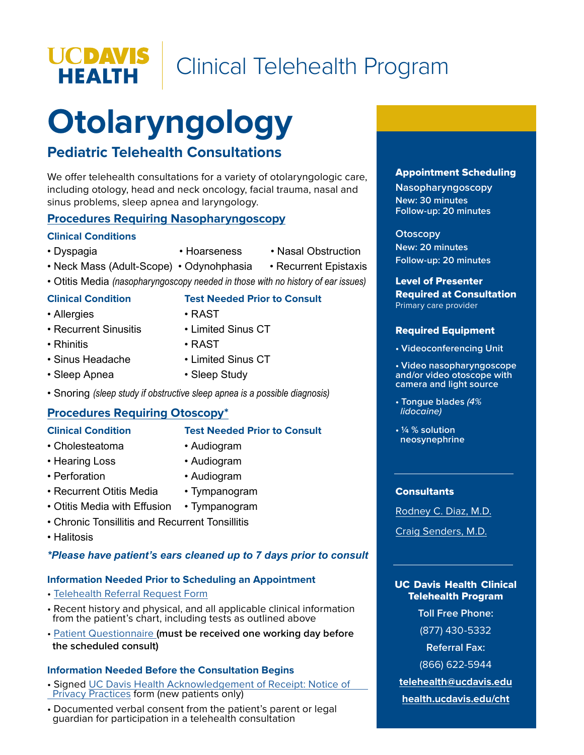Clinical Telehealth Program

# **Otolaryngology**

## **Pediatric Telehealth Consultations**

We offer telehealth consultations for a variety of otolaryngologic care, including otology, head and neck oncology, facial trauma, nasal and sinus problems, sleep apnea and laryngology.

#### **Procedures Requiring Nasopharyngoscopy**

#### **Clinical Conditions**

**UCDAVIS<br>HEALTH** 

- 
- Dyspagia • Hoarseness • Nasal Obstruction
	-
- Neck Mass (Adult-Scope) Odynohphasia Recurrent Epistaxis
- Otitis Media *(nasopharyngoscopy needed in those with no history of ear issues)*

- Allergies RAST
- **Clinical Condition Test Needed Prior to Consult**
- 
- 
- Recurrent Sinusitis Limited Sinus CT

- Rhinitis RAST
- Sinus Headache Limited Sinus CT
- Sleep Apnea Sleep Study
- -
- Snoring *(sleep study if obstructive sleep apnea is a possible diagnosis)*

## **Procedures Requiring Otoscopy\***

#### **Clinical Condition Test Needed Prior to Consult**

- Cholesteatoma Audiogram
	-
- Hearing Loss Audiogram
- Perforation Audiogram
- Recurrent Otitis Media Tympanogram
- Otitis Media with Effusion Tympanogram
- Chronic Tonsillitis and Recurrent Tonsillitis
- Halitosis

#### *\*Please have patient's ears cleaned up to 7 days prior to consult*

## **Information Needed Prior to Scheduling an Appointment**

- [Telehealth Referral Request Form](https://health.ucdavis.edu/cht/pdf/Specialties/TelehealthReferralForm.pdf)
- Recent history and physical, and all applicable clinical information from the patient's chart, including tests as outlined above
- • [Patient Questionnaire](https://health.ucdavis.edu/cht/pdf/Specialties/ENT%20Questionnaire%202009.01.pdf) **(must be received one working day before the scheduled consult)**

## **Information Needed Before the Consultation Begins**

- Signed [UC Davis Health Acknowledgement of Receipt: Notice of Privacy Practices](https://health.ucdavis.edu/cht/pdf/Specialties/Acknowledgement%20of%20Receipt%20(English).pdf) form (new patients only)
- Documented verbal consent from the patient's parent or legal guardian for participation in a telehealth consultation

#### Appointment Scheduling

**Nasopharyngoscopy New: 30 minutes Follow-up: 20 minutes**

#### **Otoscopy**

**New: 20 minutes Follow-up: 20 minutes**

#### Level of Presenter Required at Consultation

Primary care provider

#### Required Equipment

**• Videoconferencing Unit**

**• Video nasopharyngoscope and/or video otoscope with camera and light source**

- **Tongue blades** *(4% lidocaine)*
- **1/4 % solution neosynephrine**

#### **Consultants**

[Rodney C. Diaz, M.D.](https://physicians.ucdavis.edu/details/1180/rodney-diaz-otolaryngology_-_head_and_neck_surgery-otolaryngology_ent_ears_nose_throat-otology_neurotology-skull_base_surgery-sacramento?FreeText:Last+name=diaz)

[Craig Senders, M.D.](https://physicians.ucdavis.edu/details/153/craig-senders-airway_management-otolaryngology_ent_ears_nose_throat-pediatric_otolaryngology-sacramento?FreeText:Last+name=senders)

#### UC Davis Health Clinical Telehealth Program

**Toll Free Phone:**

(877) 430-5332

**Referral Fax:** 

(866) 622-5944

**[telehealth@ucdavis.edu](mailto:telehealth%40ucdavis.edu?subject=Pediatric%20Cardiology%20Inquiry)**

**[health.ucdavis.edu/cht](https://health.ucdavis.edu/cht/clinic/)**